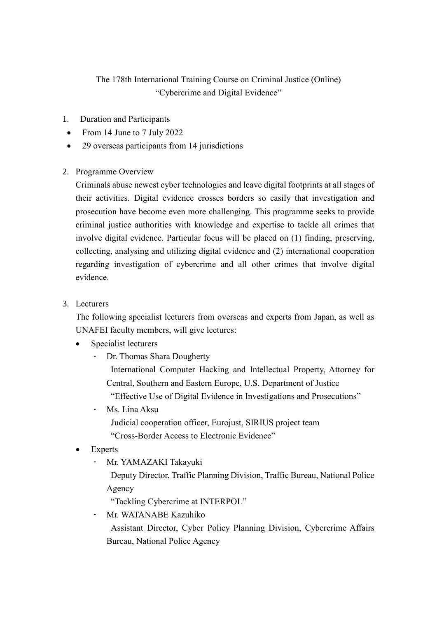## The 178th International Training Course on Criminal Justice (Online) "Cybercrime and Digital Evidence"

- 1. Duration and Participants
- From 14 June to 7 July 2022
- 29 overseas participants from 14 jurisdictions
- 2. Programme Overview

Criminals abuse newest cyber technologies and leave digital footprints at all stages of their activities. Digital evidence crosses borders so easily that investigation and prosecution have become even more challenging. This programme seeks to provide criminal justice authorities with knowledge and expertise to tackle all crimes that involve digital evidence. Particular focus will be placed on (1) finding, preserving, collecting, analysing and utilizing digital evidence and (2) international cooperation regarding investigation of cybercrime and all other crimes that involve digital evidence.

3. Lecturers

The following specialist lecturers from overseas and experts from Japan, as well as UNAFEI faculty members, will give lectures:

- Specialist lecturers
	- Dr. Thomas Shara Dougherty

International Computer Hacking and Intellectual Property, Attorney for Central, Southern and Eastern Europe, U.S. Department of Justice

"Effective Use of Digital Evidence in Investigations and Prosecutions"

• Ms. Lina Aksu

Judicial cooperation officer, Eurojust, SIRIUS project team "Cross-Border Access to Electronic Evidence"

- Experts
	- Mr. YAMAZAKI Takayuki

Deputy Director, Traffic Planning Division, Traffic Bureau, National Police Agency

"Tackling Cybercrime at INTERPOL"

• Mr. WATANABE Kazuhiko

Assistant Director, Cyber Policy Planning Division, Cybercrime Affairs Bureau, National Police Agency